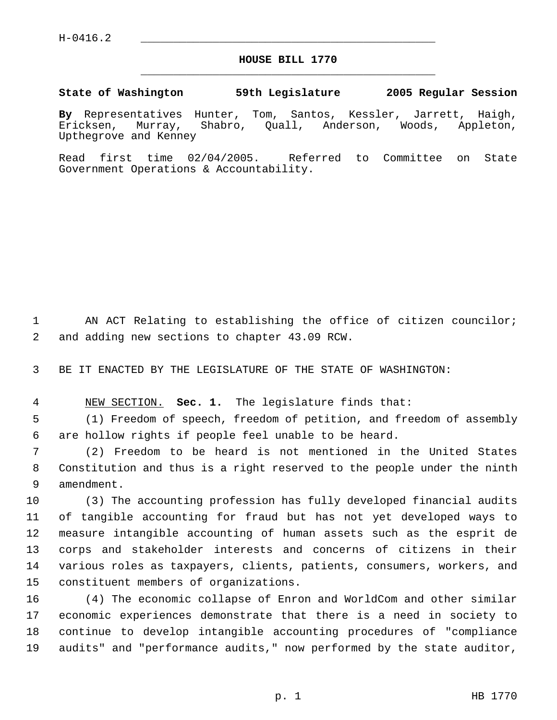## **HOUSE BILL 1770** \_\_\_\_\_\_\_\_\_\_\_\_\_\_\_\_\_\_\_\_\_\_\_\_\_\_\_\_\_\_\_\_\_\_\_\_\_\_\_\_\_\_\_\_\_

## **State of Washington 59th Legislature 2005 Regular Session**

**By** Representatives Hunter, Tom, Santos, Kessler, Jarrett, Haigh, Ericksen, Murray, Shabro, Quall, Anderson, Woods, Appleton, Upthegrove and Kenney

Read first time 02/04/2005. Referred to Committee on State Government Operations & Accountability.

1 AN ACT Relating to establishing the office of citizen councilor; and adding new sections to chapter 43.09 RCW.

BE IT ENACTED BY THE LEGISLATURE OF THE STATE OF WASHINGTON:

NEW SECTION. **Sec. 1.** The legislature finds that:

 (1) Freedom of speech, freedom of petition, and freedom of assembly are hollow rights if people feel unable to be heard.

 (2) Freedom to be heard is not mentioned in the United States Constitution and thus is a right reserved to the people under the ninth amendment.

 (3) The accounting profession has fully developed financial audits of tangible accounting for fraud but has not yet developed ways to measure intangible accounting of human assets such as the esprit de corps and stakeholder interests and concerns of citizens in their various roles as taxpayers, clients, patients, consumers, workers, and constituent members of organizations.

 (4) The economic collapse of Enron and WorldCom and other similar economic experiences demonstrate that there is a need in society to continue to develop intangible accounting procedures of "compliance audits" and "performance audits," now performed by the state auditor,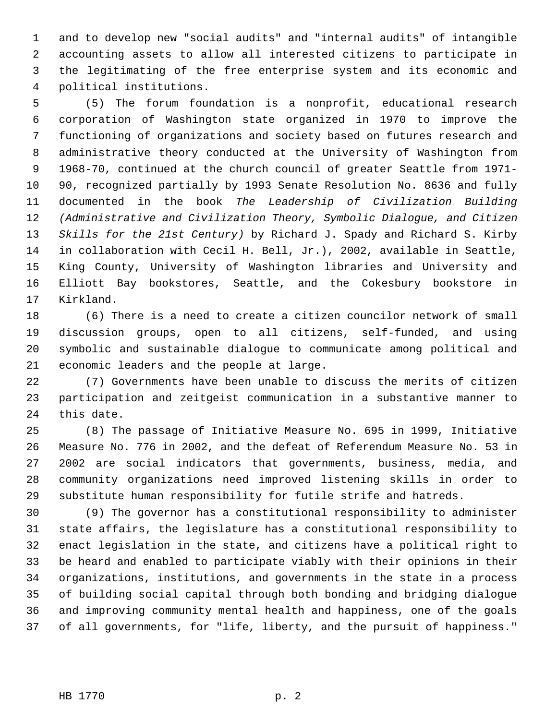and to develop new "social audits" and "internal audits" of intangible accounting assets to allow all interested citizens to participate in the legitimating of the free enterprise system and its economic and political institutions.

 (5) The forum foundation is a nonprofit, educational research corporation of Washington state organized in 1970 to improve the functioning of organizations and society based on futures research and administrative theory conducted at the University of Washington from 1968-70, continued at the church council of greater Seattle from 1971- 90, recognized partially by 1993 Senate Resolution No. 8636 and fully documented in the book *The Leadership of Civilization Building (Administrative and Civilization Theory, Symbolic Dialogue, and Citizen Skills for the 21st Century)* by Richard J. Spady and Richard S. Kirby in collaboration with Cecil H. Bell, Jr.), 2002, available in Seattle, King County, University of Washington libraries and University and Elliott Bay bookstores, Seattle, and the Cokesbury bookstore in Kirkland.

 (6) There is a need to create a citizen councilor network of small discussion groups, open to all citizens, self-funded, and using symbolic and sustainable dialogue to communicate among political and economic leaders and the people at large.

 (7) Governments have been unable to discuss the merits of citizen participation and zeitgeist communication in a substantive manner to this date.

 (8) The passage of Initiative Measure No. 695 in 1999, Initiative Measure No. 776 in 2002, and the defeat of Referendum Measure No. 53 in 2002 are social indicators that governments, business, media, and community organizations need improved listening skills in order to substitute human responsibility for futile strife and hatreds.

 (9) The governor has a constitutional responsibility to administer state affairs, the legislature has a constitutional responsibility to enact legislation in the state, and citizens have a political right to be heard and enabled to participate viably with their opinions in their organizations, institutions, and governments in the state in a process of building social capital through both bonding and bridging dialogue and improving community mental health and happiness, one of the goals of all governments, for "life, liberty, and the pursuit of happiness."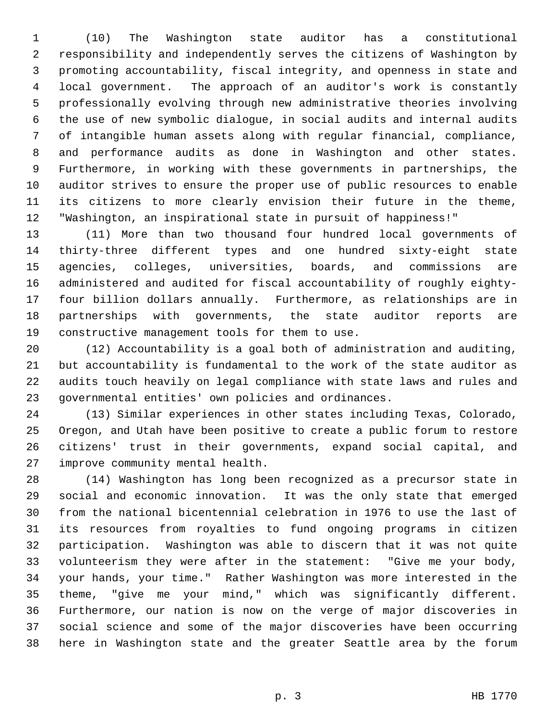(10) The Washington state auditor has a constitutional responsibility and independently serves the citizens of Washington by promoting accountability, fiscal integrity, and openness in state and local government. The approach of an auditor's work is constantly professionally evolving through new administrative theories involving the use of new symbolic dialogue, in social audits and internal audits of intangible human assets along with regular financial, compliance, and performance audits as done in Washington and other states. Furthermore, in working with these governments in partnerships, the auditor strives to ensure the proper use of public resources to enable its citizens to more clearly envision their future in the theme, "Washington, an inspirational state in pursuit of happiness!"

 (11) More than two thousand four hundred local governments of thirty-three different types and one hundred sixty-eight state agencies, colleges, universities, boards, and commissions are administered and audited for fiscal accountability of roughly eighty- four billion dollars annually. Furthermore, as relationships are in partnerships with governments, the state auditor reports are constructive management tools for them to use.

 (12) Accountability is a goal both of administration and auditing, but accountability is fundamental to the work of the state auditor as audits touch heavily on legal compliance with state laws and rules and governmental entities' own policies and ordinances.

 (13) Similar experiences in other states including Texas, Colorado, Oregon, and Utah have been positive to create a public forum to restore citizens' trust in their governments, expand social capital, and improve community mental health.

 (14) Washington has long been recognized as a precursor state in social and economic innovation. It was the only state that emerged from the national bicentennial celebration in 1976 to use the last of its resources from royalties to fund ongoing programs in citizen participation. Washington was able to discern that it was not quite volunteerism they were after in the statement: "Give me your body, your hands, your time." Rather Washington was more interested in the theme, "give me your mind," which was significantly different. Furthermore, our nation is now on the verge of major discoveries in social science and some of the major discoveries have been occurring here in Washington state and the greater Seattle area by the forum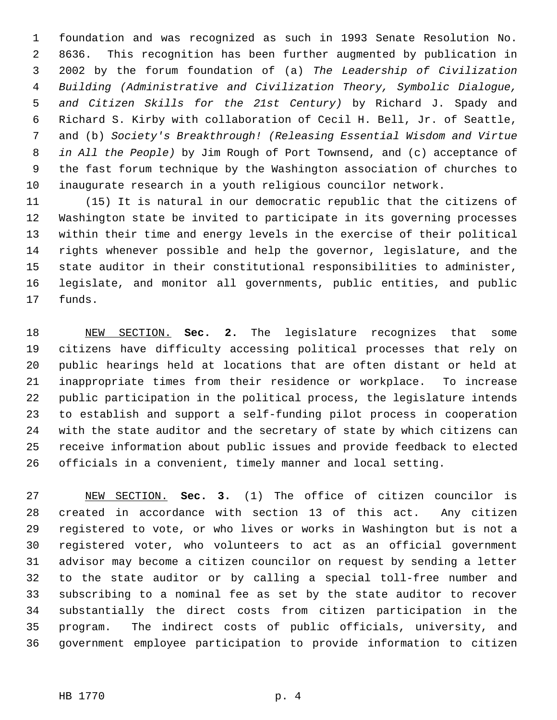foundation and was recognized as such in 1993 Senate Resolution No. 8636. This recognition has been further augmented by publication in 2002 by the forum foundation of (a) *The Leadership of Civilization Building (Administrative and Civilization Theory, Symbolic Dialogue, and Citizen Skills for the 21st Century)* by Richard J. Spady and Richard S. Kirby with collaboration of Cecil H. Bell, Jr. of Seattle, and (b) *Society's Breakthrough! (Releasing Essential Wisdom and Virtue in All the People)* by Jim Rough of Port Townsend, and (c) acceptance of the fast forum technique by the Washington association of churches to inaugurate research in a youth religious councilor network.

 (15) It is natural in our democratic republic that the citizens of Washington state be invited to participate in its governing processes within their time and energy levels in the exercise of their political rights whenever possible and help the governor, legislature, and the state auditor in their constitutional responsibilities to administer, legislate, and monitor all governments, public entities, and public funds.

 NEW SECTION. **Sec. 2.** The legislature recognizes that some citizens have difficulty accessing political processes that rely on public hearings held at locations that are often distant or held at inappropriate times from their residence or workplace. To increase public participation in the political process, the legislature intends to establish and support a self-funding pilot process in cooperation with the state auditor and the secretary of state by which citizens can receive information about public issues and provide feedback to elected officials in a convenient, timely manner and local setting.

 NEW SECTION. **Sec. 3.** (1) The office of citizen councilor is created in accordance with section 13 of this act. Any citizen registered to vote, or who lives or works in Washington but is not a registered voter, who volunteers to act as an official government advisor may become a citizen councilor on request by sending a letter to the state auditor or by calling a special toll-free number and subscribing to a nominal fee as set by the state auditor to recover substantially the direct costs from citizen participation in the program. The indirect costs of public officials, university, and government employee participation to provide information to citizen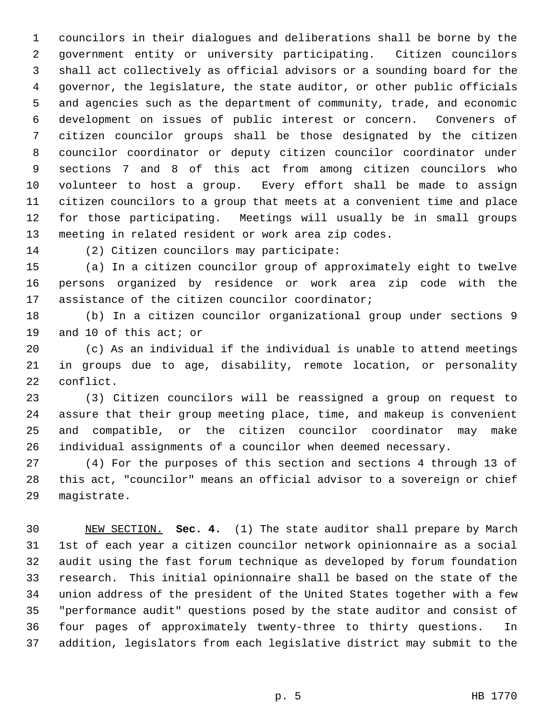councilors in their dialogues and deliberations shall be borne by the government entity or university participating. Citizen councilors shall act collectively as official advisors or a sounding board for the governor, the legislature, the state auditor, or other public officials and agencies such as the department of community, trade, and economic development on issues of public interest or concern. Conveners of citizen councilor groups shall be those designated by the citizen councilor coordinator or deputy citizen councilor coordinator under sections 7 and 8 of this act from among citizen councilors who volunteer to host a group. Every effort shall be made to assign citizen councilors to a group that meets at a convenient time and place for those participating. Meetings will usually be in small groups meeting in related resident or work area zip codes.

(2) Citizen councilors may participate:

 (a) In a citizen councilor group of approximately eight to twelve persons organized by residence or work area zip code with the assistance of the citizen councilor coordinator;

 (b) In a citizen councilor organizational group under sections 9 and 10 of this act; or

 (c) As an individual if the individual is unable to attend meetings in groups due to age, disability, remote location, or personality conflict.

 (3) Citizen councilors will be reassigned a group on request to assure that their group meeting place, time, and makeup is convenient and compatible, or the citizen councilor coordinator may make individual assignments of a councilor when deemed necessary.

 (4) For the purposes of this section and sections 4 through 13 of this act, "councilor" means an official advisor to a sovereign or chief magistrate.

 NEW SECTION. **Sec. 4.** (1) The state auditor shall prepare by March 1st of each year a citizen councilor network opinionnaire as a social audit using the fast forum technique as developed by forum foundation research. This initial opinionnaire shall be based on the state of the union address of the president of the United States together with a few "performance audit" questions posed by the state auditor and consist of four pages of approximately twenty-three to thirty questions. In addition, legislators from each legislative district may submit to the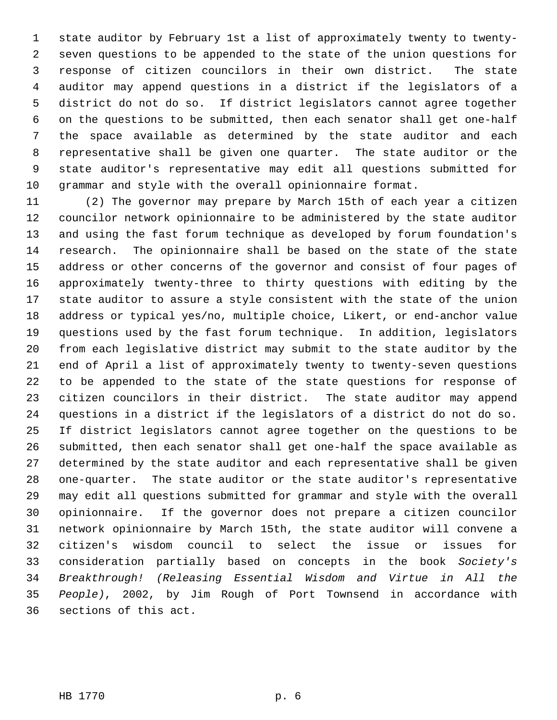1 state auditor by February 1st a list of approximately twenty to twenty- seven questions to be appended to the state of the union questions for response of citizen councilors in their own district. The state auditor may append questions in a district if the legislators of a district do not do so. If district legislators cannot agree together on the questions to be submitted, then each senator shall get one-half the space available as determined by the state auditor and each representative shall be given one quarter. The state auditor or the state auditor's representative may edit all questions submitted for grammar and style with the overall opinionnaire format.

 (2) The governor may prepare by March 15th of each year a citizen councilor network opinionnaire to be administered by the state auditor and using the fast forum technique as developed by forum foundation's research. The opinionnaire shall be based on the state of the state address or other concerns of the governor and consist of four pages of approximately twenty-three to thirty questions with editing by the state auditor to assure a style consistent with the state of the union address or typical yes/no, multiple choice, Likert, or end-anchor value questions used by the fast forum technique. In addition, legislators from each legislative district may submit to the state auditor by the end of April a list of approximately twenty to twenty-seven questions to be appended to the state of the state questions for response of citizen councilors in their district. The state auditor may append questions in a district if the legislators of a district do not do so. If district legislators cannot agree together on the questions to be submitted, then each senator shall get one-half the space available as determined by the state auditor and each representative shall be given one-quarter. The state auditor or the state auditor's representative may edit all questions submitted for grammar and style with the overall opinionnaire. If the governor does not prepare a citizen councilor network opinionnaire by March 15th, the state auditor will convene a citizen's wisdom council to select the issue or issues for consideration partially based on concepts in the book *Society's Breakthrough! (Releasing Essential Wisdom and Virtue in All the People)*, 2002, by Jim Rough of Port Townsend in accordance with sections of this act.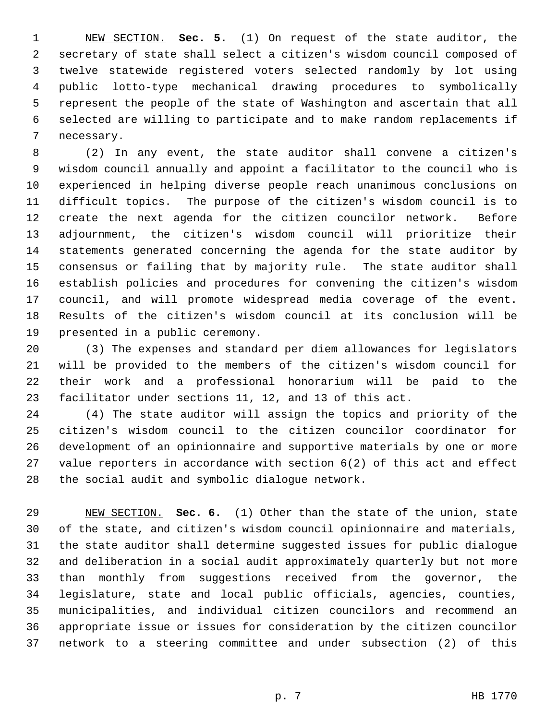NEW SECTION. **Sec. 5.** (1) On request of the state auditor, the secretary of state shall select a citizen's wisdom council composed of twelve statewide registered voters selected randomly by lot using public lotto-type mechanical drawing procedures to symbolically represent the people of the state of Washington and ascertain that all selected are willing to participate and to make random replacements if necessary.

 (2) In any event, the state auditor shall convene a citizen's wisdom council annually and appoint a facilitator to the council who is experienced in helping diverse people reach unanimous conclusions on difficult topics. The purpose of the citizen's wisdom council is to create the next agenda for the citizen councilor network. Before adjournment, the citizen's wisdom council will prioritize their statements generated concerning the agenda for the state auditor by consensus or failing that by majority rule. The state auditor shall establish policies and procedures for convening the citizen's wisdom council, and will promote widespread media coverage of the event. Results of the citizen's wisdom council at its conclusion will be presented in a public ceremony.

 (3) The expenses and standard per diem allowances for legislators will be provided to the members of the citizen's wisdom council for their work and a professional honorarium will be paid to the facilitator under sections 11, 12, and 13 of this act.

 (4) The state auditor will assign the topics and priority of the citizen's wisdom council to the citizen councilor coordinator for development of an opinionnaire and supportive materials by one or more value reporters in accordance with section 6(2) of this act and effect the social audit and symbolic dialogue network.

 NEW SECTION. **Sec. 6.** (1) Other than the state of the union, state of the state, and citizen's wisdom council opinionnaire and materials, the state auditor shall determine suggested issues for public dialogue and deliberation in a social audit approximately quarterly but not more than monthly from suggestions received from the governor, the legislature, state and local public officials, agencies, counties, municipalities, and individual citizen councilors and recommend an appropriate issue or issues for consideration by the citizen councilor network to a steering committee and under subsection (2) of this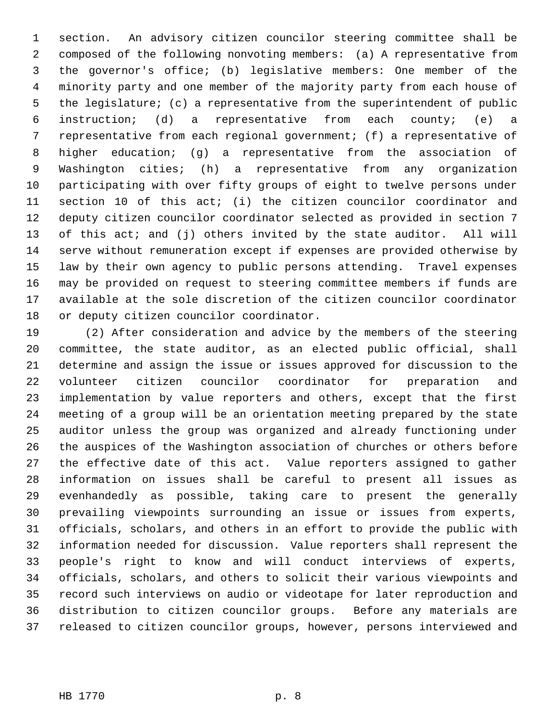section. An advisory citizen councilor steering committee shall be composed of the following nonvoting members: (a) A representative from the governor's office; (b) legislative members: One member of the minority party and one member of the majority party from each house of the legislature; (c) a representative from the superintendent of public instruction; (d) a representative from each county; (e) a representative from each regional government; (f) a representative of higher education; (g) a representative from the association of Washington cities; (h) a representative from any organization participating with over fifty groups of eight to twelve persons under section 10 of this act; (i) the citizen councilor coordinator and deputy citizen councilor coordinator selected as provided in section 7 of this act; and (j) others invited by the state auditor. All will serve without remuneration except if expenses are provided otherwise by law by their own agency to public persons attending. Travel expenses may be provided on request to steering committee members if funds are available at the sole discretion of the citizen councilor coordinator or deputy citizen councilor coordinator.

 (2) After consideration and advice by the members of the steering committee, the state auditor, as an elected public official, shall determine and assign the issue or issues approved for discussion to the volunteer citizen councilor coordinator for preparation and implementation by value reporters and others, except that the first meeting of a group will be an orientation meeting prepared by the state auditor unless the group was organized and already functioning under the auspices of the Washington association of churches or others before the effective date of this act. Value reporters assigned to gather information on issues shall be careful to present all issues as evenhandedly as possible, taking care to present the generally prevailing viewpoints surrounding an issue or issues from experts, officials, scholars, and others in an effort to provide the public with information needed for discussion. Value reporters shall represent the people's right to know and will conduct interviews of experts, officials, scholars, and others to solicit their various viewpoints and record such interviews on audio or videotape for later reproduction and distribution to citizen councilor groups. Before any materials are released to citizen councilor groups, however, persons interviewed and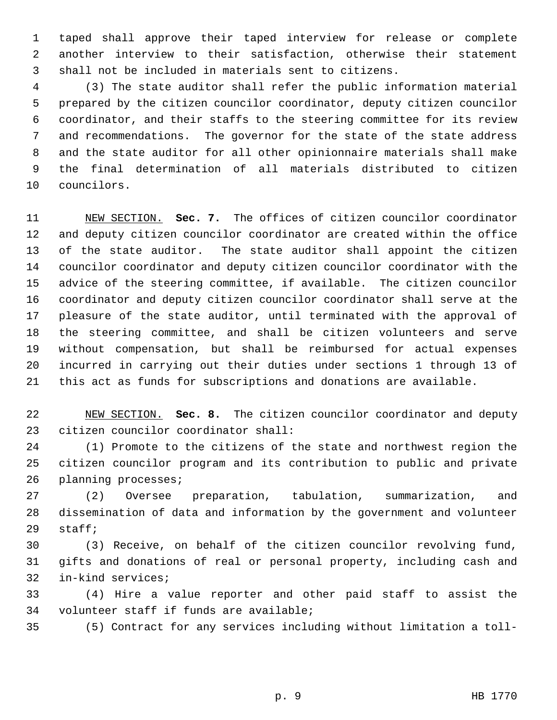taped shall approve their taped interview for release or complete another interview to their satisfaction, otherwise their statement shall not be included in materials sent to citizens.

 (3) The state auditor shall refer the public information material prepared by the citizen councilor coordinator, deputy citizen councilor coordinator, and their staffs to the steering committee for its review and recommendations. The governor for the state of the state address and the state auditor for all other opinionnaire materials shall make the final determination of all materials distributed to citizen councilors.

 NEW SECTION. **Sec. 7.** The offices of citizen councilor coordinator and deputy citizen councilor coordinator are created within the office of the state auditor. The state auditor shall appoint the citizen councilor coordinator and deputy citizen councilor coordinator with the advice of the steering committee, if available. The citizen councilor coordinator and deputy citizen councilor coordinator shall serve at the pleasure of the state auditor, until terminated with the approval of the steering committee, and shall be citizen volunteers and serve without compensation, but shall be reimbursed for actual expenses incurred in carrying out their duties under sections 1 through 13 of this act as funds for subscriptions and donations are available.

 NEW SECTION. **Sec. 8.** The citizen councilor coordinator and deputy citizen councilor coordinator shall:

 (1) Promote to the citizens of the state and northwest region the citizen councilor program and its contribution to public and private planning processes;

 (2) Oversee preparation, tabulation, summarization, and dissemination of data and information by the government and volunteer staff;

 (3) Receive, on behalf of the citizen councilor revolving fund, gifts and donations of real or personal property, including cash and in-kind services;

 (4) Hire a value reporter and other paid staff to assist the volunteer staff if funds are available;

(5) Contract for any services including without limitation a toll-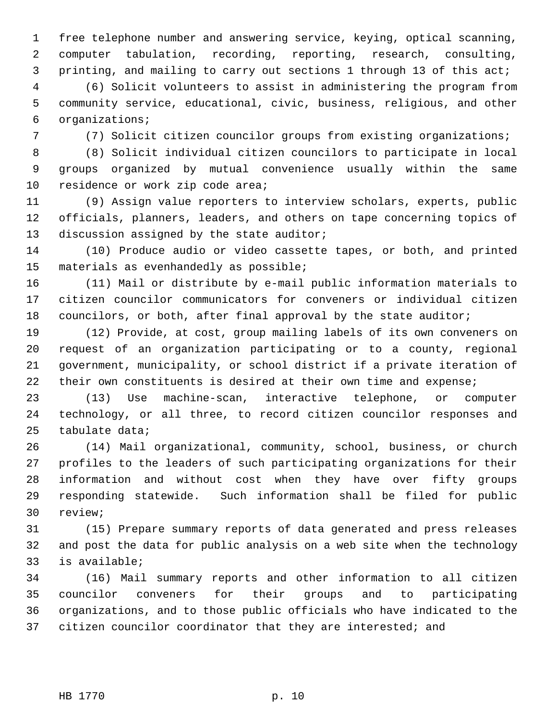free telephone number and answering service, keying, optical scanning, computer tabulation, recording, reporting, research, consulting, printing, and mailing to carry out sections 1 through 13 of this act;

 (6) Solicit volunteers to assist in administering the program from community service, educational, civic, business, religious, and other organizations;

(7) Solicit citizen councilor groups from existing organizations;

 (8) Solicit individual citizen councilors to participate in local groups organized by mutual convenience usually within the same 10 residence or work zip code area;

 (9) Assign value reporters to interview scholars, experts, public officials, planners, leaders, and others on tape concerning topics of 13 discussion assigned by the state auditor;

 (10) Produce audio or video cassette tapes, or both, and printed materials as evenhandedly as possible;

 (11) Mail or distribute by e-mail public information materials to citizen councilor communicators for conveners or individual citizen councilors, or both, after final approval by the state auditor;

 (12) Provide, at cost, group mailing labels of its own conveners on request of an organization participating or to a county, regional government, municipality, or school district if a private iteration of 22 their own constituents is desired at their own time and expense;

 (13) Use machine-scan, interactive telephone, or computer technology, or all three, to record citizen councilor responses and tabulate data;

 (14) Mail organizational, community, school, business, or church profiles to the leaders of such participating organizations for their information and without cost when they have over fifty groups responding statewide. Such information shall be filed for public review;

 (15) Prepare summary reports of data generated and press releases and post the data for public analysis on a web site when the technology is available;

 (16) Mail summary reports and other information to all citizen councilor conveners for their groups and to participating organizations, and to those public officials who have indicated to the 37 citizen councilor coordinator that they are interested; and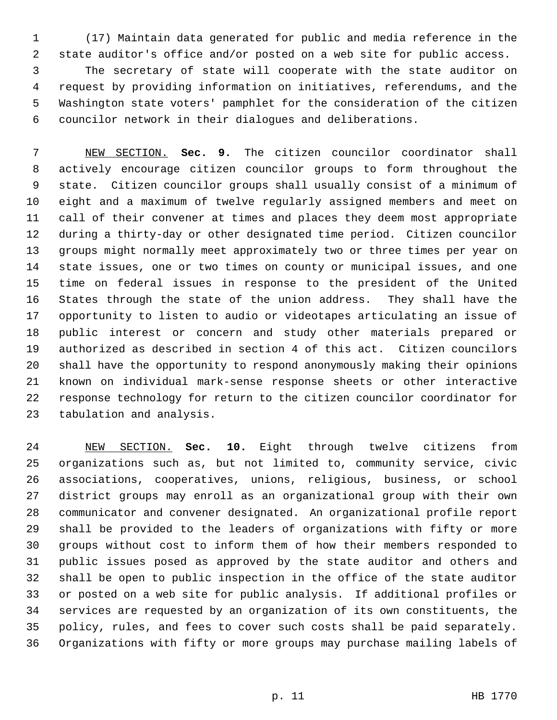(17) Maintain data generated for public and media reference in the state auditor's office and/or posted on a web site for public access.

 The secretary of state will cooperate with the state auditor on request by providing information on initiatives, referendums, and the Washington state voters' pamphlet for the consideration of the citizen councilor network in their dialogues and deliberations.

 NEW SECTION. **Sec. 9.** The citizen councilor coordinator shall actively encourage citizen councilor groups to form throughout the state. Citizen councilor groups shall usually consist of a minimum of eight and a maximum of twelve regularly assigned members and meet on call of their convener at times and places they deem most appropriate during a thirty-day or other designated time period. Citizen councilor groups might normally meet approximately two or three times per year on state issues, one or two times on county or municipal issues, and one time on federal issues in response to the president of the United States through the state of the union address. They shall have the opportunity to listen to audio or videotapes articulating an issue of public interest or concern and study other materials prepared or authorized as described in section 4 of this act. Citizen councilors shall have the opportunity to respond anonymously making their opinions known on individual mark-sense response sheets or other interactive response technology for return to the citizen councilor coordinator for tabulation and analysis.

 NEW SECTION. **Sec. 10.** Eight through twelve citizens from organizations such as, but not limited to, community service, civic associations, cooperatives, unions, religious, business, or school district groups may enroll as an organizational group with their own communicator and convener designated. An organizational profile report shall be provided to the leaders of organizations with fifty or more groups without cost to inform them of how their members responded to public issues posed as approved by the state auditor and others and shall be open to public inspection in the office of the state auditor or posted on a web site for public analysis. If additional profiles or services are requested by an organization of its own constituents, the policy, rules, and fees to cover such costs shall be paid separately. Organizations with fifty or more groups may purchase mailing labels of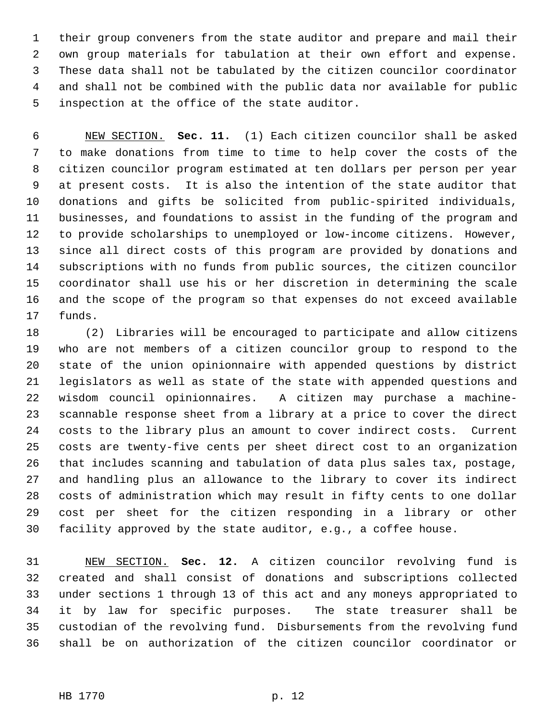their group conveners from the state auditor and prepare and mail their own group materials for tabulation at their own effort and expense. These data shall not be tabulated by the citizen councilor coordinator and shall not be combined with the public data nor available for public inspection at the office of the state auditor.

 NEW SECTION. **Sec. 11.** (1) Each citizen councilor shall be asked to make donations from time to time to help cover the costs of the citizen councilor program estimated at ten dollars per person per year at present costs. It is also the intention of the state auditor that donations and gifts be solicited from public-spirited individuals, businesses, and foundations to assist in the funding of the program and to provide scholarships to unemployed or low-income citizens. However, since all direct costs of this program are provided by donations and subscriptions with no funds from public sources, the citizen councilor coordinator shall use his or her discretion in determining the scale and the scope of the program so that expenses do not exceed available funds.

 (2) Libraries will be encouraged to participate and allow citizens who are not members of a citizen councilor group to respond to the state of the union opinionnaire with appended questions by district legislators as well as state of the state with appended questions and wisdom council opinionnaires. A citizen may purchase a machine- scannable response sheet from a library at a price to cover the direct costs to the library plus an amount to cover indirect costs. Current costs are twenty-five cents per sheet direct cost to an organization that includes scanning and tabulation of data plus sales tax, postage, and handling plus an allowance to the library to cover its indirect costs of administration which may result in fifty cents to one dollar cost per sheet for the citizen responding in a library or other facility approved by the state auditor, e.g., a coffee house.

 NEW SECTION. **Sec. 12.** A citizen councilor revolving fund is created and shall consist of donations and subscriptions collected under sections 1 through 13 of this act and any moneys appropriated to it by law for specific purposes. The state treasurer shall be custodian of the revolving fund. Disbursements from the revolving fund shall be on authorization of the citizen councilor coordinator or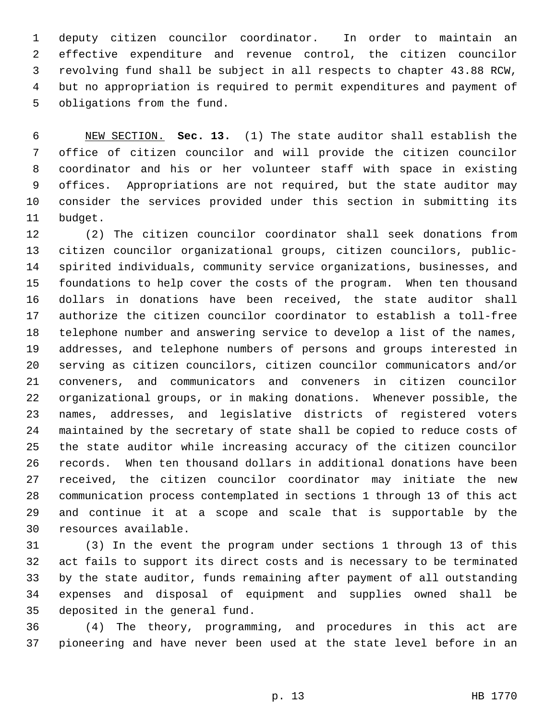deputy citizen councilor coordinator. In order to maintain an effective expenditure and revenue control, the citizen councilor revolving fund shall be subject in all respects to chapter 43.88 RCW, but no appropriation is required to permit expenditures and payment of obligations from the fund.

 NEW SECTION. **Sec. 13.** (1) The state auditor shall establish the office of citizen councilor and will provide the citizen councilor coordinator and his or her volunteer staff with space in existing offices. Appropriations are not required, but the state auditor may consider the services provided under this section in submitting its budget.

 (2) The citizen councilor coordinator shall seek donations from citizen councilor organizational groups, citizen councilors, public- spirited individuals, community service organizations, businesses, and foundations to help cover the costs of the program. When ten thousand dollars in donations have been received, the state auditor shall authorize the citizen councilor coordinator to establish a toll-free telephone number and answering service to develop a list of the names, addresses, and telephone numbers of persons and groups interested in serving as citizen councilors, citizen councilor communicators and/or conveners, and communicators and conveners in citizen councilor organizational groups, or in making donations. Whenever possible, the names, addresses, and legislative districts of registered voters maintained by the secretary of state shall be copied to reduce costs of the state auditor while increasing accuracy of the citizen councilor records. When ten thousand dollars in additional donations have been received, the citizen councilor coordinator may initiate the new communication process contemplated in sections 1 through 13 of this act and continue it at a scope and scale that is supportable by the resources available.

 (3) In the event the program under sections 1 through 13 of this act fails to support its direct costs and is necessary to be terminated by the state auditor, funds remaining after payment of all outstanding expenses and disposal of equipment and supplies owned shall be deposited in the general fund.

 (4) The theory, programming, and procedures in this act are pioneering and have never been used at the state level before in an